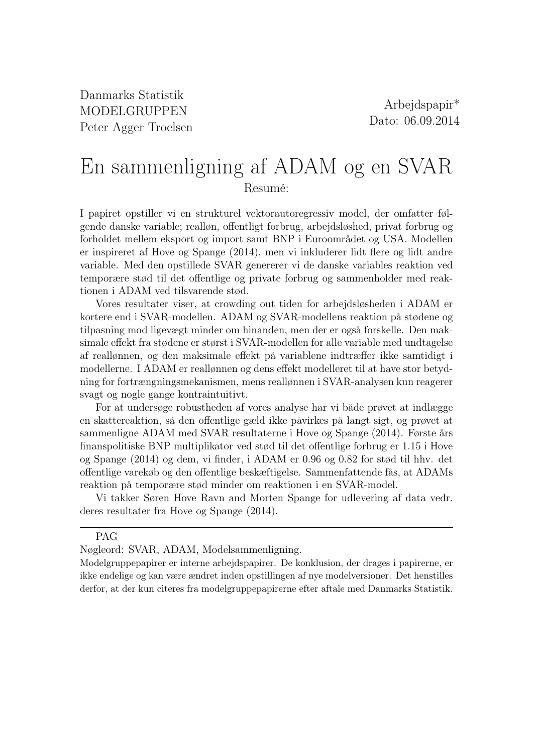# En sammenligning af ADAM og en SVAR Resumé:

I papiret opstiller vi en strukturel vektorautoregressiv model, der omfatter følgende danske variable; realløn, offentligt forbrug, arbejdsløshed, privat forbrug og forholdet mellem eksport og import samt BNP i Euroområdet og USA. Modellen er inspireret af Hove og Spange (2014), men vi inkluderer lidt flere og lidt andre variable. Med den opstillede SVAR genererer vi de danske variables reaktion ved temporære stød til det offentlige og private forbrug og sammenholder med reaktionen i ADAM ved tilsvarende stød.

Vores resultater viser, at crowding out tiden for arbejdsløsheden i ADAM er kortere end i SVAR-modellen. ADAM og SVAR-modellens reaktion på stødene og tilpasning mod ligevægt minder om hinanden, men der er også forskelle. Den maksimale effekt fra stødene er størst i SVAR-modellen for alle variable med undtagelse af reallønnen, og den maksimale effekt på variablene indtræffer ikke samtidigt i modellerne. I ADAM er reallønnen og dens effekt modelleret til at have stor betydning for fortrængningsmekanismen, mens reallønnen i SVAR-analysen kun reagerer svagt og nogle gange kontraintuitivt.

For at undersøge robustheden af vores analyse har vi både prøvet at indlægge en skattereaktion, så den offentlige gæld ikke påvirkes på langt sigt, og prøvet at sammenligne ADAM med SVAR resultaterne i Hove og Spange (2014). Første års finanspolitiske BNP multiplikator ved stød til det offentlige forbrug er 1.15 i Hove og Spange (2014) og dem, vi finder, i ADAM er 0.96 og 0.82 for stød til hhv. det offentlige varekøb og den offentlige beskæftigelse. Sammenfattende fås, at ADAMs reaktion på temporære stød minder om reaktionen i en SVAR-model.

Vi takker Søren Hove Ravn and Morten Spange for udlevering af data vedr. deres resultater fra Hove og Spange (2014).

PAG

Nøgleord: SVAR, ADAM, Modelsammenligning.

Modelgruppepapirer er interne arbejdspapirer. De konklusion, der drages i papirerne, er ikke endelige og kan være ændret inden opstillingen af nye modelversioner. Det henstilles derfor, at der kun citeres fra modelgruppepapirerne efter aftale med Danmarks Statistik.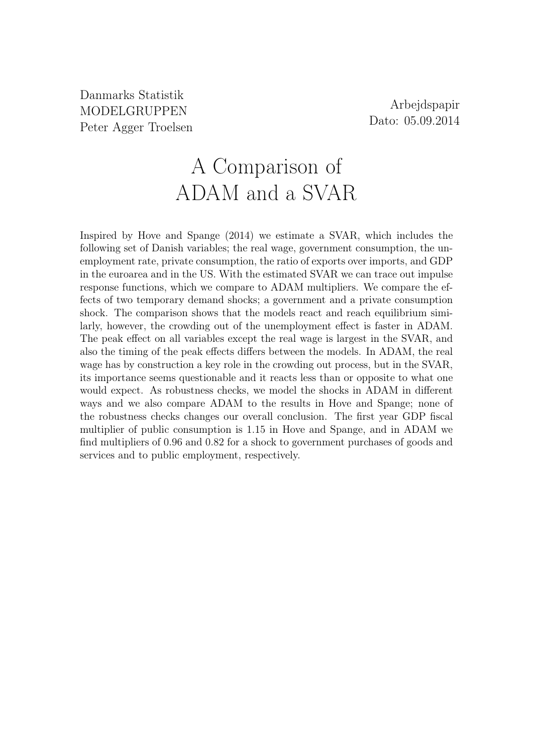Arbejdspapir Dato: 05.09.2014

Danmarks Statistik MODELGRUPPEN Peter Agger Troelsen

# A Comparison of ADAM and a SVAR

Inspired by Hove and Spange (2014) we estimate a SVAR, which includes the following set of Danish variables; the real wage, government consumption, the unemployment rate, private consumption, the ratio of exports over imports, and GDP in the euroarea and in the US. With the estimated SVAR we can trace out impulse response functions, which we compare to ADAM multipliers. We compare the effects of two temporary demand shocks; a government and a private consumption shock. The comparison shows that the models react and reach equilibrium similarly, however, the crowding out of the unemployment effect is faster in ADAM. The peak effect on all variables except the real wage is largest in the SVAR, and also the timing of the peak effects differs between the models. In ADAM, the real wage has by construction a key role in the crowding out process, but in the SVAR, its importance seems questionable and it reacts less than or opposite to what one would expect. As robustness checks, we model the shocks in ADAM in different ways and we also compare ADAM to the results in Hove and Spange; none of the robustness checks changes our overall conclusion. The first year GDP fiscal multiplier of public consumption is 1.15 in Hove and Spange, and in ADAM we find multipliers of 0.96 and 0.82 for a shock to government purchases of goods and services and to public employment, respectively.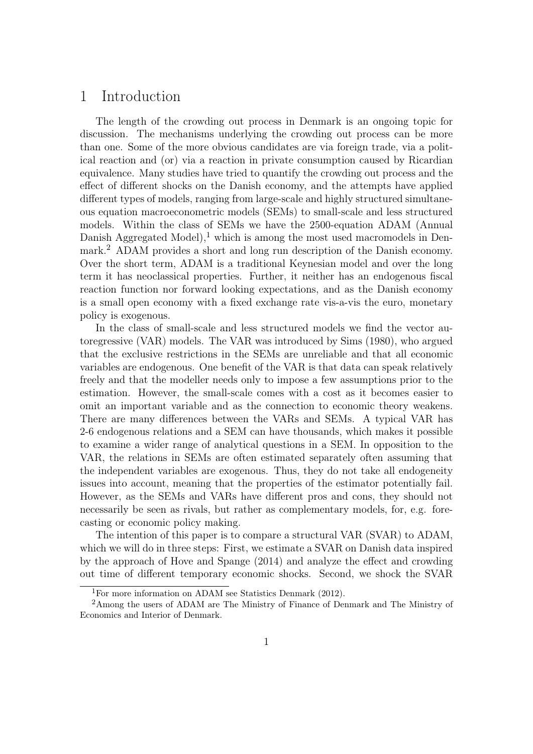## 1 Introduction

The length of the crowding out process in Denmark is an ongoing topic for discussion. The mechanisms underlying the crowding out process can be more than one. Some of the more obvious candidates are via foreign trade, via a political reaction and (or) via a reaction in private consumption caused by Ricardian equivalence. Many studies have tried to quantify the crowding out process and the effect of different shocks on the Danish economy, and the attempts have applied different types of models, ranging from large-scale and highly structured simultaneous equation macroeconometric models (SEMs) to small-scale and less structured models. Within the class of SEMs we have the 2500-equation ADAM (Annual Danish Aggregated Model),<sup>1</sup> which is among the most used macromodels in Denmark.<sup>2</sup> ADAM provides a short and long run description of the Danish economy. Over the short term, ADAM is a traditional Keynesian model and over the long term it has neoclassical properties. Further, it neither has an endogenous fiscal reaction function nor forward looking expectations, and as the Danish economy is a small open economy with a fixed exchange rate vis-a-vis the euro, monetary policy is exogenous.

In the class of small-scale and less structured models we find the vector autoregressive (VAR) models. The VAR was introduced by Sims (1980), who argued that the exclusive restrictions in the SEMs are unreliable and that all economic variables are endogenous. One benefit of the VAR is that data can speak relatively freely and that the modeller needs only to impose a few assumptions prior to the estimation. However, the small-scale comes with a cost as it becomes easier to omit an important variable and as the connection to economic theory weakens. There are many differences between the VARs and SEMs. A typical VAR has 2-6 endogenous relations and a SEM can have thousands, which makes it possible to examine a wider range of analytical questions in a SEM. In opposition to the VAR, the relations in SEMs are often estimated separately often assuming that the independent variables are exogenous. Thus, they do not take all endogeneity issues into account, meaning that the properties of the estimator potentially fail. However, as the SEMs and VARs have different pros and cons, they should not necessarily be seen as rivals, but rather as complementary models, for, e.g. forecasting or economic policy making.

The intention of this paper is to compare a structural VAR (SVAR) to ADAM, which we will do in three steps: First, we estimate a SVAR on Danish data inspired by the approach of Hove and Spange (2014) and analyze the effect and crowding out time of different temporary economic shocks. Second, we shock the SVAR

<sup>&</sup>lt;sup>1</sup>For more information on ADAM see Statistics Denmark  $(2012)$ .

<sup>2</sup>Among the users of ADAM are The Ministry of Finance of Denmark and The Ministry of Economics and Interior of Denmark.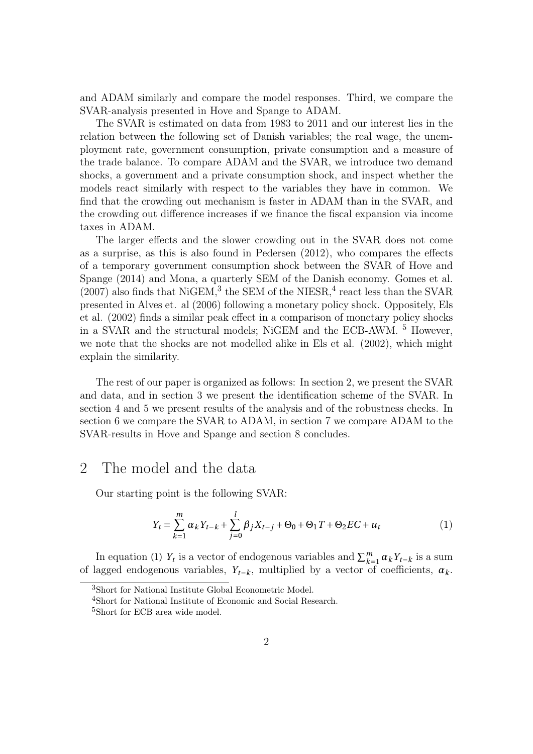and ADAM similarly and compare the model responses. Third, we compare the SVAR-analysis presented in Hove and Spange to ADAM.

The SVAR is estimated on data from 1983 to 2011 and our interest lies in the relation between the following set of Danish variables; the real wage, the unemployment rate, government consumption, private consumption and a measure of the trade balance. To compare ADAM and the SVAR, we introduce two demand shocks, a government and a private consumption shock, and inspect whether the models react similarly with respect to the variables they have in common. We find that the crowding out mechanism is faster in ADAM than in the SVAR, and the crowding out difference increases if we finance the fiscal expansion via income taxes in ADAM.

The larger effects and the slower crowding out in the SVAR does not come as a surprise, as this is also found in Pedersen (2012), who compares the effects of a temporary government consumption shock between the SVAR of Hove and Spange (2014) and Mona, a quarterly SEM of the Danish economy. Gomes et al.  $(2007)$  also finds that NiGEM,<sup>3</sup> the SEM of the NIESR,<sup>4</sup> react less than the SVAR presented in Alves et. al (2006) following a monetary policy shock. Oppositely, Els et al. (2002) finds a similar peak effect in a comparison of monetary policy shocks in a SVAR and the structural models; NiGEM and the ECB-AWM. <sup>5</sup> However, we note that the shocks are not modelled alike in Els et al. (2002), which might explain the similarity.

The rest of our paper is organized as follows: In section 2, we present the SVAR and data, and in section 3 we present the identification scheme of the SVAR. In section 4 and 5 we present results of the analysis and of the robustness checks. In section 6 we compare the SVAR to ADAM, in section 7 we compare ADAM to the SVAR-results in Hove and Spange and section 8 concludes.

### 2 The model and the data

Our starting point is the following SVAR:

$$
Y_t = \sum_{k=1}^{m} \alpha_k Y_{t-k} + \sum_{j=0}^{l} \beta_j X_{t-j} + \Theta_0 + \Theta_1 T + \Theta_2 EC + u_t
$$
 (1)

In equation (1)  $Y_t$  is a vector of endogenous variables and  $\sum_{k=1}^{m} \alpha_k Y_{t-k}$  is a sum of lagged endogenous variables,  $Y_{t-k}$ , multiplied by a vector of coefficients,  $\alpha_k$ .

<sup>3</sup>Short for National Institute Global Econometric Model.

<sup>4</sup>Short for National Institute of Economic and Social Research.

<sup>5</sup>Short for ECB area wide model.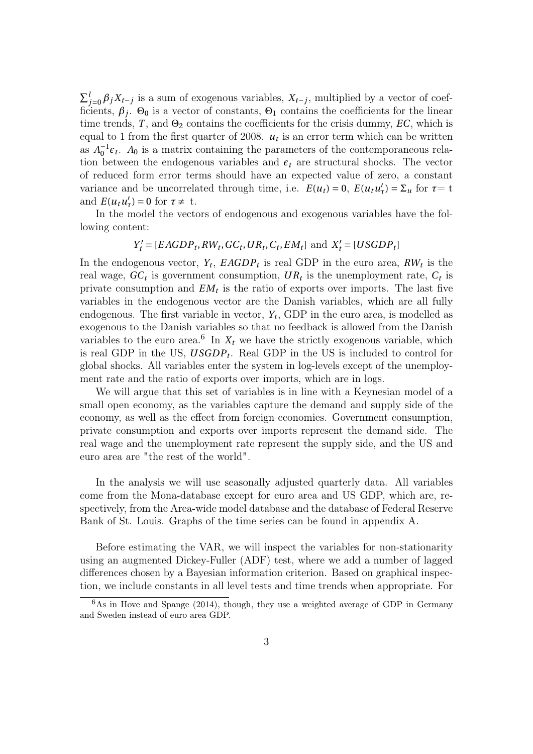$\sum_{j=0}^{l} \beta_j X_{t-j}$  is a sum of exogenous variables,  $X_{t-j}$ , multiplied by a vector of coefficients,  $\beta_j$ .  $\Theta_0$  is a vector of constants,  $\Theta_1$  contains the coefficients for the linear time trends,  $T$ , and  $\Theta_2$  contains the coefficients for the crisis dummy,  $EC$ , which is equal to 1 from the first quarter of 2008.  $u_t$  is an error term which can be written  $\frac{1}{4}$ as  $A_0^{-1}$  $\int_0^{-1} \epsilon_t$ . A<sub>0</sub> is a matrix containing the parameters of the contemporaneous relation between the endogenous variables and  $\epsilon_t$  are structural shocks. The vector of reduced form error terms should have an expected value of zero, a constant variance and be uncorrelated through time, i.e.  $E(u_t) = 0$ ,  $E(u_t u_t)$ *τ* ) = Σ*<sup>u</sup>* for *τ*= t and  $E(u_t u'_t)$  $\tau$ <sub>*τ*</sub>) = 0 for  $\tau \neq$  t.

In the model the vectors of endogenous and exogenous variables have the following content:

# $Y'_t = [EAGDP_t, RW_t, GC_t, UR_t, C_t, EM_t]$  and  $X'_t = [USGDP_t]$

In the endogenous vector,  $Y_t$ ,  $EAGDP_t$  is real GDP in the euro area,  $RW_t$  is the real wage,  $GC_t$  is government consumption,  $UR_t$  is the unemployment rate,  $C_t$  is private consumption and  $EM_t$  is the ratio of exports over imports. The last five variables in the endogenous vector are the Danish variables, which are all fully endogenous. The first variable in vector,  $Y_t$ , GDP in the euro area, is modelled as exogenous to the Danish variables so that no feedback is allowed from the Danish variables to the euro area.<sup>6</sup> In  $X_t$  we have the strictly exogenous variable, which is real GDP in the US, *U SGDP<sup>t</sup>* . Real GDP in the US is included to control for global shocks. All variables enter the system in log-levels except of the unemployment rate and the ratio of exports over imports, which are in logs.

We will argue that this set of variables is in line with a Keynesian model of a small open economy, as the variables capture the demand and supply side of the economy, as well as the effect from foreign economies. Government consumption, private consumption and exports over imports represent the demand side. The real wage and the unemployment rate represent the supply side, and the US and euro area are "the rest of the world".

In the analysis we will use seasonally adjusted quarterly data. All variables come from the Mona-database except for euro area and US GDP, which are, respectively, from the Area-wide model database and the database of Federal Reserve Bank of St. Louis. Graphs of the time series can be found in appendix A.

Before estimating the VAR, we will inspect the variables for non-stationarity using an augmented Dickey-Fuller (ADF) test, where we add a number of lagged differences chosen by a Bayesian information criterion. Based on graphical inspection, we include constants in all level tests and time trends when appropriate. For

 $6$ As in Hove and Spange (2014), though, they use a weighted average of GDP in Germany and Sweden instead of euro area GDP.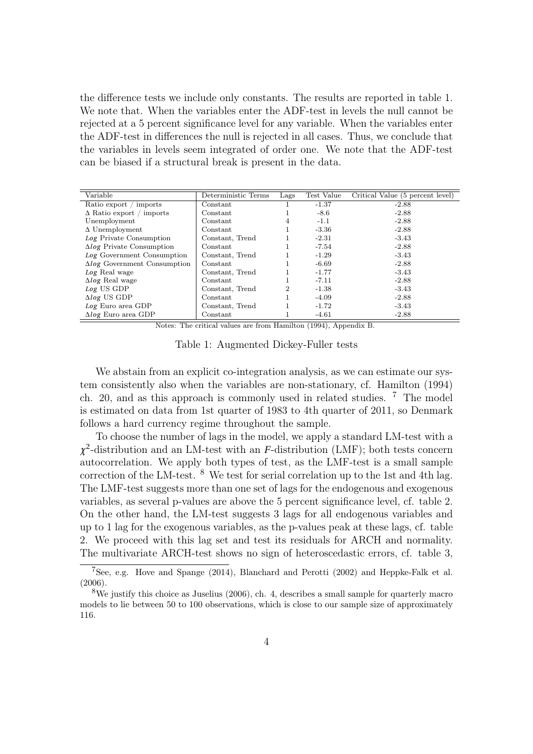the difference tests we include only constants. The results are reported in table 1. We note that. When the variables enter the ADF-test in levels the null cannot be rejected at a 5 percent significance level for any variable. When the variables enter the ADF-test in differences the null is rejected in all cases. Thus, we conclude that the variables in levels seem integrated of order one. We note that the ADF-test can be biased if a structural break is present in the data.

| Variable                            | Deterministic Terms | Lags | Test Value | Critical Value (5 percent level) |  |
|-------------------------------------|---------------------|------|------------|----------------------------------|--|
| Ratio export / imports              | Constant            |      | $-1.37$    | $-2.88$                          |  |
| $\Delta$ Ratio export / imports     | Constant            |      | $-8.6$     | $-2.88$                          |  |
| Unemployment                        | Constant            | 4    | $-1.1$     | $-2.88$                          |  |
| $\Delta$ Unemployment               | Constant            |      | $-3.36$    | $-2.88$                          |  |
| Log Private Consumption             | Constant, Trend     |      | $-2.31$    | $-3.43$                          |  |
| $\Delta log$ Private Consumption    | Constant            |      | $-7.54$    | $-2.88$                          |  |
| Log Government Consumption          | Constant, Trend     |      | $-1.29$    | $-3.43$                          |  |
| $\Delta log$ Government Consumption | Constant            |      | $-6.69$    | $-2.88$                          |  |
| Log Real wage                       | Constant, Trend     |      | $-1.77$    | $-3.43$                          |  |
| $\Delta log$ Real wage              | Constant            |      | $-7.11$    | $-2.88$                          |  |
| Log US GDP                          | Constant, Trend     | 2    | $-1.38$    | $-3.43$                          |  |
| $\Delta log$ US GDP                 | Constant            |      | $-4.09$    | $-2.88$                          |  |
| Log Euro area GDP                   | Constant, Trend     |      | $-1.72$    | $-3.43$                          |  |
| $\Delta log$ Euro area GDP          | Constant            |      | $-4.61$    | $-2.88$                          |  |

Notes: The critical values are from Hamilton (1994), Appendix B.

Table 1: Augmented Dickey-Fuller tests

We abstain from an explicit co-integration analysis, as we can estimate our system consistently also when the variables are non-stationary, cf. Hamilton (1994) ch. 20, and as this approach is commonly used in related studies. <sup>7</sup> The model is estimated on data from 1st quarter of 1983 to 4th quarter of 2011, so Denmark follows a hard currency regime throughout the sample.

To choose the number of lags in the model, we apply a standard LM-test with a  $\chi^2$ -distribution and an LM-test with an *F*-distribution (LMF); both tests concern autocorrelation. We apply both types of test, as the LMF-test is a small sample correction of the LM-test. <sup>8</sup> We test for serial correlation up to the 1st and 4th lag. The LMF-test suggests more than one set of lags for the endogenous and exogenous variables, as several p-values are above the 5 percent significance level, cf. table 2. On the other hand, the LM-test suggests 3 lags for all endogenous variables and up to 1 lag for the exogenous variables, as the p-values peak at these lags, cf. table 2. We proceed with this lag set and test its residuals for ARCH and normality. The multivariate ARCH-test shows no sign of heteroscedastic errors, cf. table 3,

<sup>7</sup>See, e.g. Hove and Spange (2014), Blanchard and Perotti (2002) and Heppke-Falk et al. (2006).

<sup>&</sup>lt;sup>8</sup>We justify this choice as Juselius (2006), ch. 4, describes a small sample for quarterly macro models to lie between 50 to 100 observations, which is close to our sample size of approximately 116.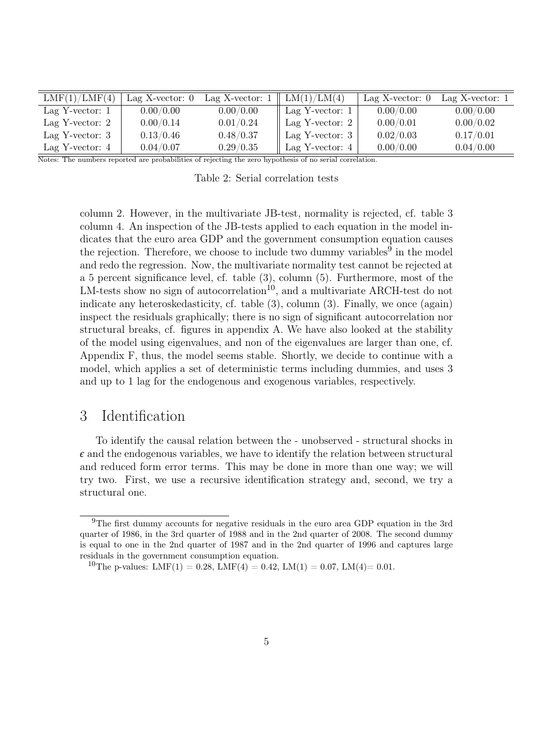| LMF(1)/LMF(4)     | Lag X-vector: $0$ | Lag $X-vector:$ | LM(1)/LM(4)       | Lag X-vector: $0$ | Lag $X-vector: 1$ |
|-------------------|-------------------|-----------------|-------------------|-------------------|-------------------|
| Lag Y-vector: $1$ | 0.00/0.00         | 0.00/0.00       | Lag Y-vector: $1$ | 0.00/0.00         | 0.00/0.00         |
| Lag Y-vector: $2$ | 0.00/0.14         | 0.01/0.24       | Lag Y-vector: 2   | 0.00/0.01         | 0.00/0.02         |
| Lag Y-vector: $3$ | 0.13/0.46         | 0.48/0.37       | Lag Y-vector: $3$ | 0.02/0.03         | 0.17/0.01         |
| Lag Y-vector: $4$ | 0.04/0.07         | 0.29/0.35       | Lag Y-vector: $4$ | 0.00/0.00         | 0.04/0.00         |

Notes: The numbers reported are probabilities of rejecting the zero hypothesis of no serial correlation.

Table 2: Serial correlation tests

column 2. However, in the multivariate JB-test, normality is rejected, cf. table 3 column 4. An inspection of the JB-tests applied to each equation in the model indicates that the euro area GDP and the government consumption equation causes the rejection. Therefore, we choose to include two dummy variables<sup>9</sup> in the model and redo the regression. Now, the multivariate normality test cannot be rejected at a 5 percent significance level, cf. table (3), column (5). Furthermore, most of the  $LM$ -tests show no sign of autocorrelation<sup>10</sup>, and a multivariate ARCH-test do not indicate any heteroskedasticity, cf. table (3), column (3). Finally, we once (again) inspect the residuals graphically; there is no sign of significant autocorrelation nor structural breaks, cf. figures in appendix A. We have also looked at the stability of the model using eigenvalues, and non of the eigenvalues are larger than one, cf. Appendix F, thus, the model seems stable. Shortly, we decide to continue with a model, which applies a set of deterministic terms including dummies, and uses 3 and up to 1 lag for the endogenous and exogenous variables, respectively.

### 3 Identification

To identify the causal relation between the - unobserved - structural shocks in  $\epsilon$  and the endogenous variables, we have to identify the relation between structural and reduced form error terms. This may be done in more than one way; we will try two. First, we use a recursive identification strategy and, second, we try a structural one.

<sup>&</sup>lt;sup>9</sup>The first dummy accounts for negative residuals in the euro area GDP equation in the 3rd quarter of 1986, in the 3rd quarter of 1988 and in the 2nd quarter of 2008. The second dummy is equal to one in the 2nd quarter of 1987 and in the 2nd quarter of 1996 and captures large residuals in the government consumption equation.

<sup>&</sup>lt;sup>10</sup>The p-values: LMF(1) = 0.28, LMF(4) = 0.42, LM(1) = 0.07, LM(4) = 0.01.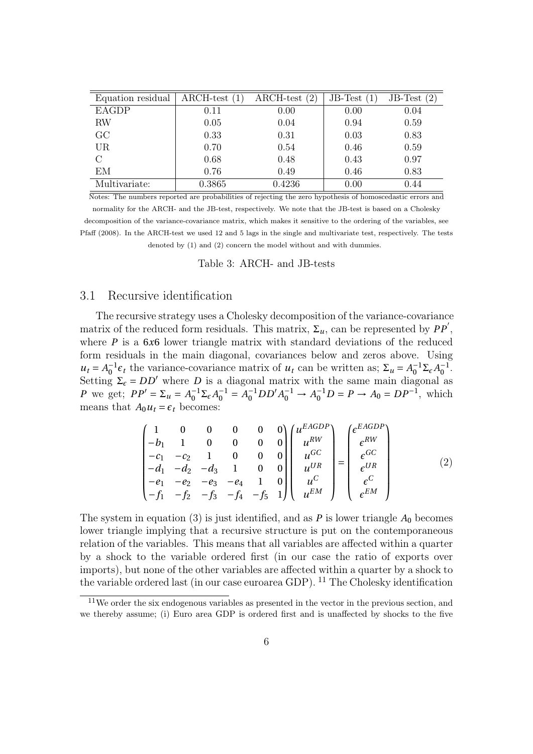| Equation residual | $ARCH-test (1)$ | ARCH-test | JB-Test | (2)<br>JB-Test |
|-------------------|-----------------|-----------|---------|----------------|
| <b>EAGDP</b>      | 0.11            | 0.00      | 0.00    | 0.04           |
| RW                | 0.05            | 0.04      | 0.94    | 0.59           |
| GC                | 0.33            | 0.31      | 0.03    | 0.83           |
| <b>UR</b>         | 0.70            | 0.54      | 0.46    | 0.59           |
| С                 | 0.68            | 0.48      | 0.43    | 0.97           |
| ΕM                | 0.76            | 0.49      | 0.46    | 0.83           |
| Multivariate:     | 0.3865          | 0.4236    | 0.00    | 0.44           |

Notes: The numbers reported are probabilities of rejecting the zero hypothesis of homoscedastic errors and normality for the ARCH- and the JB-test, respectively. We note that the JB-test is based on a Cholesky decomposition of the variance-covariance matrix, which makes it sensitive to the ordering of the variables, see Pfaff (2008). In the ARCH-test we used 12 and 5 lags in the single and multivariate test, respectively. The tests denoted by (1) and (2) concern the model without and with dummies.

Table 3: ARCH- and JB-tests

#### 3.1 Recursive identification

The recursive strategy uses a Cholesky decomposition of the variance-covariance matrix of the reduced form residuals. This matrix,  $\Sigma_u$ , can be represented by  $PP'$ , where *P* is a  $6x6$  lower triangle matrix with standard deviations of the reduced form residuals in the main diagonal, covariances below and zeros above. Using  $u_t = A_0^{-1}$  $\sum_{i=0}^{-1} \epsilon_i$  the variance-covariance matrix of  $u_t$  can be written as;  $\Sigma_u = A_0^{-1}$  $\sum_{\epsilon}^{-1} \sum_{\epsilon} A_0^{-1}$  $\frac{-1}{0}$ . Setting  $\Sigma_{\epsilon} = DD'$  where *D* is a diagonal matrix with the same main diagonal as *P* we get;  $PP' = \Sigma_u = A_0^{-1}$  $0^{-1}\Sigma_{\epsilon}A_0^{-1} = A_0^{-1}DD'A_0^{-1} \rightarrow A_0^{-1}D = P \rightarrow A_0 = DP^{-1}$ , which means that  $A_0 u_t = \epsilon_t$  becomes:

$$
\begin{pmatrix}\n1 & 0 & 0 & 0 & 0 & 0 \\
-b_1 & 1 & 0 & 0 & 0 & 0 \\
-c_1 & -c_2 & 1 & 0 & 0 & 0 \\
-d_1 & -d_2 & -d_3 & 1 & 0 & 0 \\
-e_1 & -e_2 & -e_3 & -e_4 & 1 & 0 \\
-f_1 & -f_2 & -f_3 & -f_4 & -f_5 & 1\n\end{pmatrix}\n\begin{pmatrix}\nu^{EAGDP} \\ u^{RW} \\ u^{GC} \\ u^{UR} \\ u^C \\ u^{EM}\end{pmatrix} =\n\begin{pmatrix}\n\epsilon^{EAGDP} \\ \epsilon^{RW} \\ \epsilon^{C} \\ \epsilon^{UR} \\ \epsilon^{EM}\end{pmatrix}
$$
\n(2)

The system in equation (3) is just identified, and as  $P$  is lower triangle  $A_0$  becomes lower triangle implying that a recursive structure is put on the contemporaneous relation of the variables. This means that all variables are affected within a quarter by a shock to the variable ordered first (in our case the ratio of exports over imports), but none of the other variables are affected within a quarter by a shock to the variable ordered last (in our case euroarea GDP).  $^{11}$  The Cholesky identification

 $11$ We order the six endogenous variables as presented in the vector in the previous section, and we thereby assume; (i) Euro area GDP is ordered first and is unaffected by shocks to the five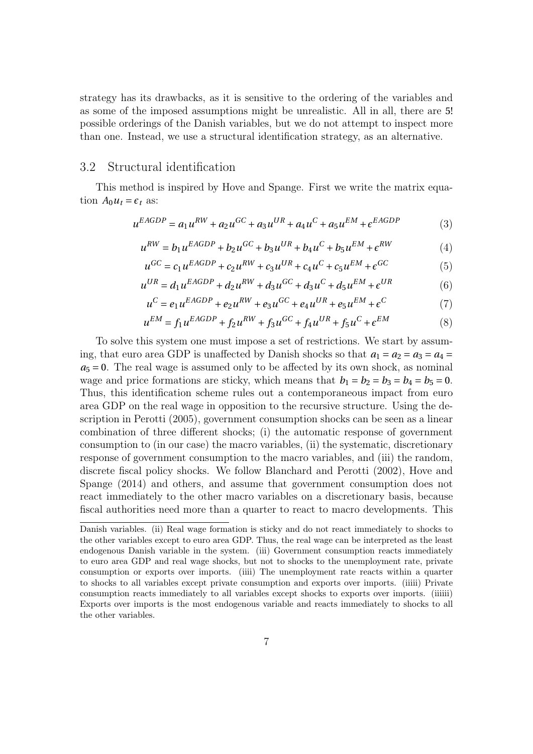strategy has its drawbacks, as it is sensitive to the ordering of the variables and as some of the imposed assumptions might be unrealistic. All in all, there are 5! possible orderings of the Danish variables, but we do not attempt to inspect more than one. Instead, we use a structural identification strategy, as an alternative.

#### 3.2 Structural identification

This method is inspired by Hove and Spange. First we write the matrix equation  $A_0 u_t = \epsilon_t$  as:

$$
u^{EAGDP} = a_1 u^{RW} + a_2 u^{GC} + a_3 u^{UR} + a_4 u^C + a_5 u^{EM} + \epsilon^{EAGDP}
$$
 (3)

$$
u^{RW} = b_1 u^{EAGDP} + b_2 u^{GC} + b_3 u^{UR} + b_4 u^{C} + b_5 u^{EM} + \epsilon^{RW}
$$
 (4)

$$
u^{GC} = c_1 u^{EAGDP} + c_2 u^{RW} + c_3 u^{UR} + c_4 u^C + c_5 u^{EM} + \epsilon^{GC}
$$
 (5)

$$
u^{UR} = d_1 u^{EAGDP} + d_2 u^{RW} + d_3 u^{GC} + d_3 u^C + d_5 u^{EM} + \epsilon^{UR}
$$
(6)

$$
u^{C} = e_{1}u^{EAGDP} + e_{2}u^{RW} + e_{3}u^{GC} + e_{4}u^{UR} + e_{5}u^{EM} + e^{C}
$$
 (7)

$$
u^{EM} = f_1 u^{EAGDP} + f_2 u^{RW} + f_3 u^{GC} + f_4 u^{UR} + f_5 u^{C} + \epsilon^{EM}
$$
 (8)

To solve this system one must impose a set of restrictions. We start by assuming, that euro area GDP is unaffected by Danish shocks so that  $a_1 = a_2 = a_3 = a_4 = a_4$  $a_5 = 0$ . The real wage is assumed only to be affected by its own shock, as nominal wage and price formations are sticky, which means that  $b_1 = b_2 = b_3 = b_4 = b_5 = 0$ . Thus, this identification scheme rules out a contemporaneous impact from euro area GDP on the real wage in opposition to the recursive structure. Using the description in Perotti (2005), government consumption shocks can be seen as a linear combination of three different shocks; (i) the automatic response of government consumption to (in our case) the macro variables, (ii) the systematic, discretionary response of government consumption to the macro variables, and (iii) the random, discrete fiscal policy shocks. We follow Blanchard and Perotti (2002), Hove and Spange (2014) and others, and assume that government consumption does not react immediately to the other macro variables on a discretionary basis, because fiscal authorities need more than a quarter to react to macro developments. This

Danish variables. (ii) Real wage formation is sticky and do not react immediately to shocks to the other variables except to euro area GDP. Thus, the real wage can be interpreted as the least endogenous Danish variable in the system. (iii) Government consumption reacts immediately to euro area GDP and real wage shocks, but not to shocks to the unemployment rate, private consumption or exports over imports. (iiii) The unemployment rate reacts within a quarter to shocks to all variables except private consumption and exports over imports. (iiiii) Private consumption reacts immediately to all variables except shocks to exports over imports. (iiiiii) Exports over imports is the most endogenous variable and reacts immediately to shocks to all the other variables.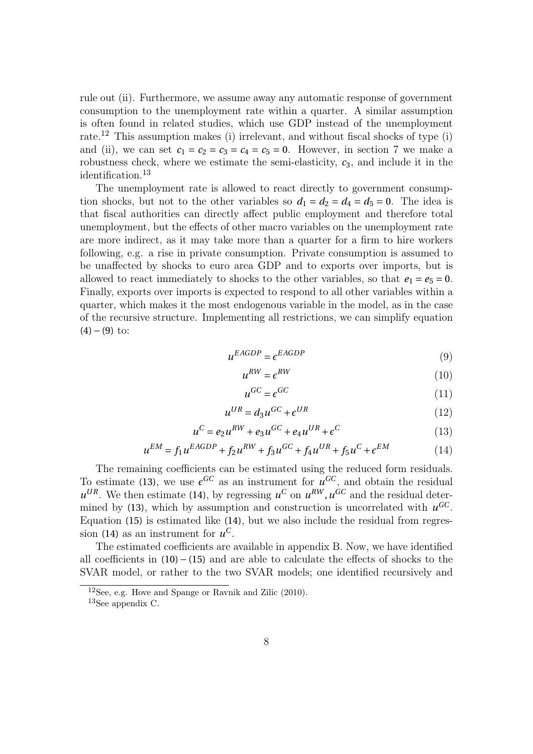rule out (ii). Furthermore, we assume away any automatic response of government consumption to the unemployment rate within a quarter. A similar assumption is often found in related studies, which use GDP instead of the unemployment rate.<sup>12</sup> This assumption makes (i) irrelevant, and without fiscal shocks of type (i) and (ii), we can set  $c_1 = c_2 = c_3 = c_4 = c_5 = 0$ . However, in section 7 we make a robustness check, where we estimate the semi-elasticity, *c*3, and include it in the identification.<sup>13</sup>

The unemployment rate is allowed to react directly to government consumption shocks, but not to the other variables so  $d_1 = d_2 = d_4 = d_5 = 0$ . The idea is that fiscal authorities can directly affect public employment and therefore total unemployment, but the effects of other macro variables on the unemployment rate are more indirect, as it may take more than a quarter for a firm to hire workers following, e.g. a rise in private consumption. Private consumption is assumed to be unaffected by shocks to euro area GDP and to exports over imports, but is allowed to react immediately to shocks to the other variables, so that  $e_1 = e_5 = 0$ . Finally, exports over imports is expected to respond to all other variables within a quarter, which makes it the most endogenous variable in the model, as in the case of the recursive structure. Implementing all restrictions, we can simplify equation  $(4)$  – (9) to:

$$
u^{EAGDP} = e^{EAGDP}
$$
\n<sup>(9)</sup>

$$
u^{RW} = e^{RW} \tag{10}
$$

$$
u^{GC} = \epsilon^{GC} \tag{11}
$$

$$
u^{UR} = d_3 u^{GC} + \epsilon^{UR} \tag{12}
$$

$$
u^{C} = e_{2}u^{RW} + e_{3}u^{GC} + e_{4}u^{UR} + \epsilon^{C}
$$
 (13)

$$
u^{EM} = f_1 u^{EAGDP} + f_2 u^{RW} + f_3 u^{GC} + f_4 u^{UR} + f_5 u^{C} + \epsilon^{EM}
$$
(14)

The remaining coefficients can be estimated using the reduced form residuals. To estimate (13), we use  $\epsilon^{GC}$  as an instrument for  $u^{GC}$ , and obtain the residual  $u^{UR}$ . We then estimate (14), by regressing  $u^C$  on  $u^{RW}$ ,  $u^{GC}$  and the residual determined by (13), which by assumption and construction is uncorrelated with  $u^{GC}$ . Equation (15) is estimated like (14), but we also include the residual from regression (14) as an instrument for  $u^C$ .

The estimated coefficients are available in appendix B. Now, we have identified all coefficients in  $(10) - (15)$  and are able to calculate the effects of shocks to the SVAR model, or rather to the two SVAR models; one identified recursively and

 $12$ See, e.g. Hove and Spange or Ravnik and Zilic (2010).

<sup>13</sup>See appendix C.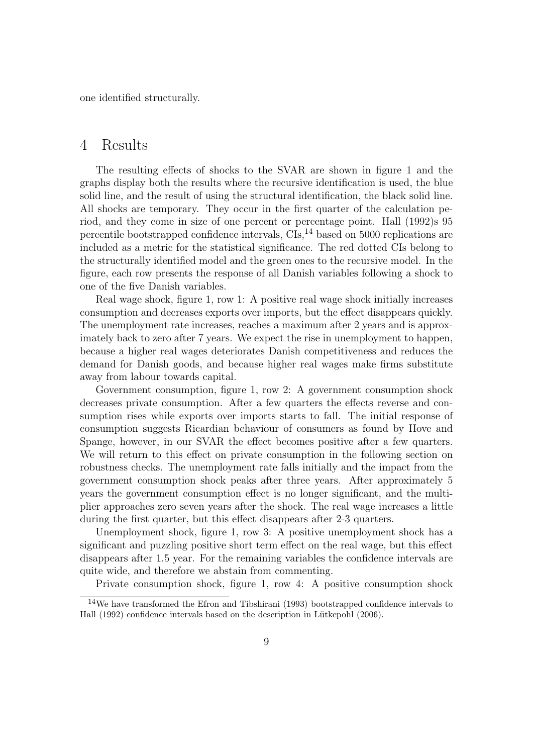one identified structurally.

### 4 Results

The resulting effects of shocks to the SVAR are shown in figure 1 and the graphs display both the results where the recursive identification is used, the blue solid line, and the result of using the structural identification, the black solid line. All shocks are temporary. They occur in the first quarter of the calculation period, and they come in size of one percent or percentage point. Hall (1992)s 95 percentile bootstrapped confidence intervals,  $\text{CIs}$ ,  $^{14}$  based on 5000 replications are included as a metric for the statistical significance. The red dotted CIs belong to the structurally identified model and the green ones to the recursive model. In the figure, each row presents the response of all Danish variables following a shock to one of the five Danish variables.

Real wage shock, figure 1, row 1: A positive real wage shock initially increases consumption and decreases exports over imports, but the effect disappears quickly. The unemployment rate increases, reaches a maximum after 2 years and is approximately back to zero after 7 years. We expect the rise in unemployment to happen, because a higher real wages deteriorates Danish competitiveness and reduces the demand for Danish goods, and because higher real wages make firms substitute away from labour towards capital.

Government consumption, figure 1, row 2: A government consumption shock decreases private consumption. After a few quarters the effects reverse and consumption rises while exports over imports starts to fall. The initial response of consumption suggests Ricardian behaviour of consumers as found by Hove and Spange, however, in our SVAR the effect becomes positive after a few quarters. We will return to this effect on private consumption in the following section on robustness checks. The unemployment rate falls initially and the impact from the government consumption shock peaks after three years. After approximately 5 years the government consumption effect is no longer significant, and the multiplier approaches zero seven years after the shock. The real wage increases a little during the first quarter, but this effect disappears after 2-3 quarters.

Unemployment shock, figure 1, row 3: A positive unemployment shock has a significant and puzzling positive short term effect on the real wage, but this effect disappears after 1.5 year. For the remaining variables the confidence intervals are quite wide, and therefore we abstain from commenting.

Private consumption shock, figure 1, row 4: A positive consumption shock

<sup>14</sup>We have transformed the Efron and Tibshirani (1993) bootstrapped confidence intervals to Hall (1992) confidence intervals based on the description in Lütkepohl (2006).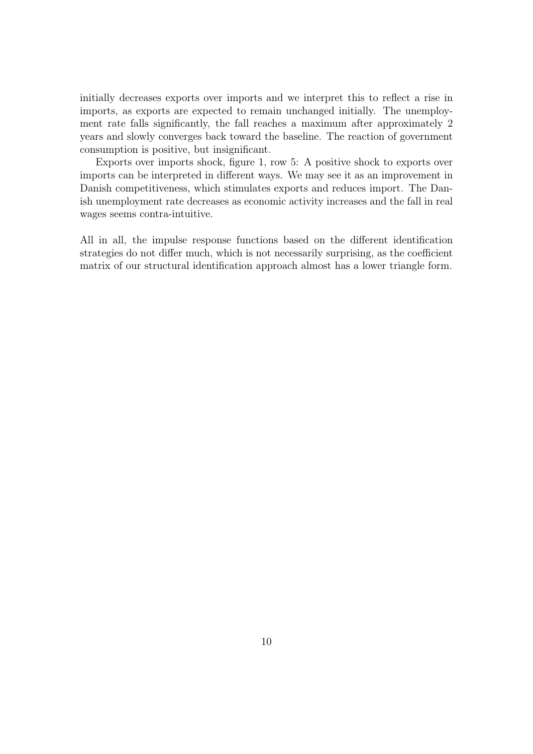initially decreases exports over imports and we interpret this to reflect a rise in imports, as exports are expected to remain unchanged initially. The unemployment rate falls significantly, the fall reaches a maximum after approximately 2 years and slowly converges back toward the baseline. The reaction of government consumption is positive, but insignificant.

Exports over imports shock, figure 1, row 5: A positive shock to exports over imports can be interpreted in different ways. We may see it as an improvement in Danish competitiveness, which stimulates exports and reduces import. The Danish unemployment rate decreases as economic activity increases and the fall in real wages seems contra-intuitive.

All in all, the impulse response functions based on the different identification strategies do not differ much, which is not necessarily surprising, as the coefficient matrix of our structural identification approach almost has a lower triangle form.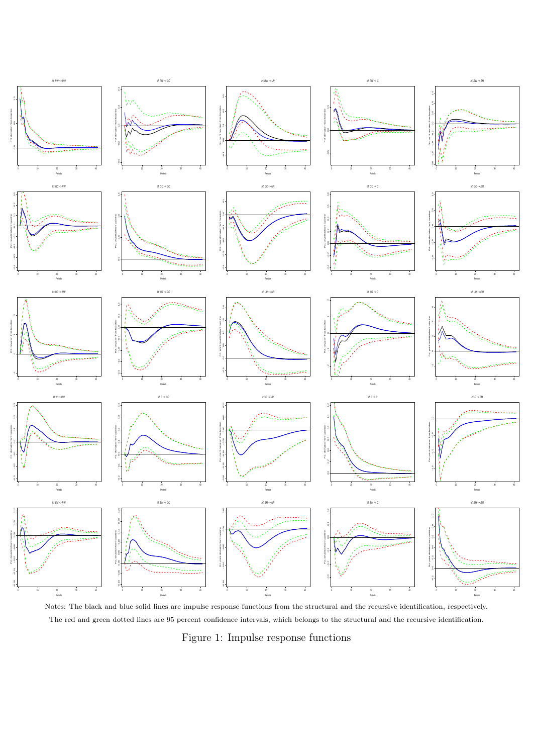

Notes: The black and blue solid lines are impulse response functions from the structural and the recursive identification, respectively. The red and green dotted lines are 95 percent confidence intervals, which belongs to the structural and the recursive identification.

Figure 1: Impulse response functions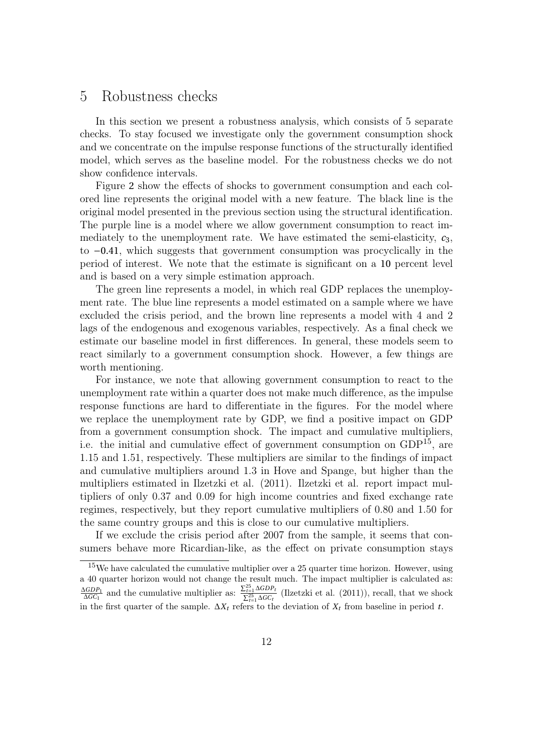### 5 Robustness checks

In this section we present a robustness analysis, which consists of 5 separate checks. To stay focused we investigate only the government consumption shock and we concentrate on the impulse response functions of the structurally identified model, which serves as the baseline model. For the robustness checks we do not show confidence intervals.

Figure 2 show the effects of shocks to government consumption and each colored line represents the original model with a new feature. The black line is the original model presented in the previous section using the structural identification. The purple line is a model where we allow government consumption to react immediately to the unemployment rate. We have estimated the semi-elasticity,  $c_3$ , to −0.41, which suggests that government consumption was procyclically in the period of interest. We note that the estimate is significant on a 10 percent level and is based on a very simple estimation approach.

The green line represents a model, in which real GDP replaces the unemployment rate. The blue line represents a model estimated on a sample where we have excluded the crisis period, and the brown line represents a model with 4 and 2 lags of the endogenous and exogenous variables, respectively. As a final check we estimate our baseline model in first differences. In general, these models seem to react similarly to a government consumption shock. However, a few things are worth mentioning.

For instance, we note that allowing government consumption to react to the unemployment rate within a quarter does not make much difference, as the impulse response functions are hard to differentiate in the figures. For the model where we replace the unemployment rate by GDP, we find a positive impact on GDP from a government consumption shock. The impact and cumulative multipliers, i.e. the initial and cumulative effect of government consumption on  $GDP<sup>15</sup>$ , are 1.15 and 1.51, respectively. These multipliers are similar to the findings of impact and cumulative multipliers around 1.3 in Hove and Spange, but higher than the multipliers estimated in Ilzetzki et al. (2011). Ilzetzki et al. report impact multipliers of only 0.37 and 0.09 for high income countries and fixed exchange rate regimes, respectively, but they report cumulative multipliers of 0.80 and 1.50 for the same country groups and this is close to our cumulative multipliers.

If we exclude the crisis period after 2007 from the sample, it seems that consumers behave more Ricardian-like, as the effect on private consumption stays

 $15$ We have calculated the cumulative multiplier over a 25 quarter time horizon. However, using a 40 quarter horizon would not change the result much. The impact multiplier is calculated as:  $\frac{\Delta GDP_1}{\Delta GC_1}$  and the cumulative multiplier as:  $\frac{\sum_{t=1}^{25} \Delta GDP_t}{\sum_{t=1}^{25} \Delta GC_t}$  $\sum_{t=1}^{t} \frac{\Delta G L}{\Delta G C_t}$  (Ilzetzki et al. (2011)), recall, that we shock in the first quarter of the sample. ∆*X<sup>t</sup>* refers to the deviation of *X<sup>t</sup>* from baseline in period *t*.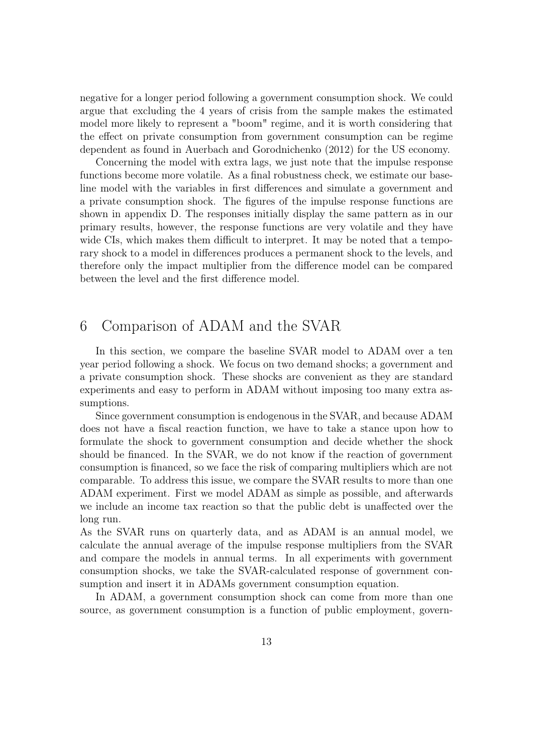negative for a longer period following a government consumption shock. We could argue that excluding the 4 years of crisis from the sample makes the estimated model more likely to represent a "boom" regime, and it is worth considering that the effect on private consumption from government consumption can be regime dependent as found in Auerbach and Gorodnichenko (2012) for the US economy.

Concerning the model with extra lags, we just note that the impulse response functions become more volatile. As a final robustness check, we estimate our baseline model with the variables in first differences and simulate a government and a private consumption shock. The figures of the impulse response functions are shown in appendix D. The responses initially display the same pattern as in our primary results, however, the response functions are very volatile and they have wide CIs, which makes them difficult to interpret. It may be noted that a temporary shock to a model in differences produces a permanent shock to the levels, and therefore only the impact multiplier from the difference model can be compared between the level and the first difference model.

# 6 Comparison of ADAM and the SVAR

In this section, we compare the baseline SVAR model to ADAM over a ten year period following a shock. We focus on two demand shocks; a government and a private consumption shock. These shocks are convenient as they are standard experiments and easy to perform in ADAM without imposing too many extra assumptions.

Since government consumption is endogenous in the SVAR, and because ADAM does not have a fiscal reaction function, we have to take a stance upon how to formulate the shock to government consumption and decide whether the shock should be financed. In the SVAR, we do not know if the reaction of government consumption is financed, so we face the risk of comparing multipliers which are not comparable. To address this issue, we compare the SVAR results to more than one ADAM experiment. First we model ADAM as simple as possible, and afterwards we include an income tax reaction so that the public debt is unaffected over the long run.

As the SVAR runs on quarterly data, and as ADAM is an annual model, we calculate the annual average of the impulse response multipliers from the SVAR and compare the models in annual terms. In all experiments with government consumption shocks, we take the SVAR-calculated response of government consumption and insert it in ADAMs government consumption equation.

In ADAM, a government consumption shock can come from more than one source, as government consumption is a function of public employment, govern-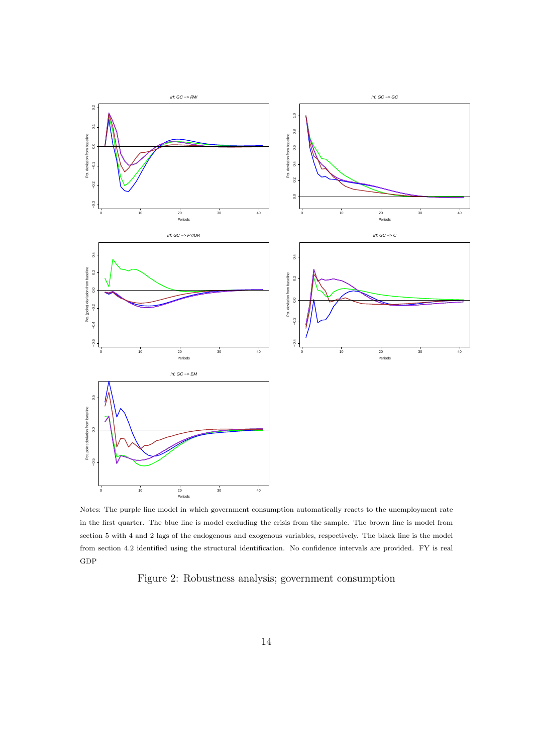

Notes: The purple line model in which government consumption automatically reacts to the unemployment rate in the first quarter. The blue line is model excluding the crisis from the sample. The brown line is model from section 5 with 4 and 2 lags of the endogenous and exogenous variables, respectively. The black line is the model from section 4.2 identified using the structural identification. No confidence intervals are provided. FY is real GDP

Figure 2: Robustness analysis; government consumption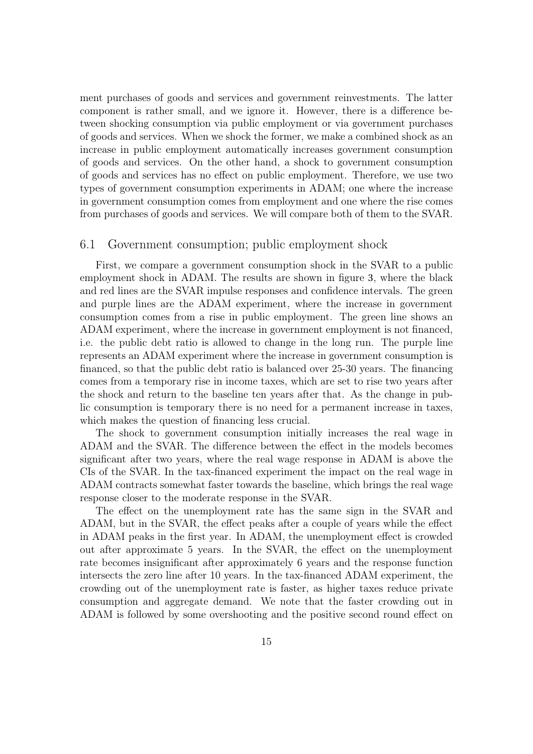ment purchases of goods and services and government reinvestments. The latter component is rather small, and we ignore it. However, there is a difference between shocking consumption via public employment or via government purchases of goods and services. When we shock the former, we make a combined shock as an increase in public employment automatically increases government consumption of goods and services. On the other hand, a shock to government consumption of goods and services has no effect on public employment. Therefore, we use two types of government consumption experiments in ADAM; one where the increase in government consumption comes from employment and one where the rise comes from purchases of goods and services. We will compare both of them to the SVAR.

#### 6.1 Government consumption; public employment shock

First, we compare a government consumption shock in the SVAR to a public employment shock in ADAM. The results are shown in figure 3, where the black and red lines are the SVAR impulse responses and confidence intervals. The green and purple lines are the ADAM experiment, where the increase in government consumption comes from a rise in public employment. The green line shows an ADAM experiment, where the increase in government employment is not financed, i.e. the public debt ratio is allowed to change in the long run. The purple line represents an ADAM experiment where the increase in government consumption is financed, so that the public debt ratio is balanced over 25-30 years. The financing comes from a temporary rise in income taxes, which are set to rise two years after the shock and return to the baseline ten years after that. As the change in public consumption is temporary there is no need for a permanent increase in taxes, which makes the question of financing less crucial.

The shock to government consumption initially increases the real wage in ADAM and the SVAR. The difference between the effect in the models becomes significant after two years, where the real wage response in ADAM is above the CIs of the SVAR. In the tax-financed experiment the impact on the real wage in ADAM contracts somewhat faster towards the baseline, which brings the real wage response closer to the moderate response in the SVAR.

The effect on the unemployment rate has the same sign in the SVAR and ADAM, but in the SVAR, the effect peaks after a couple of years while the effect in ADAM peaks in the first year. In ADAM, the unemployment effect is crowded out after approximate 5 years. In the SVAR, the effect on the unemployment rate becomes insignificant after approximately 6 years and the response function intersects the zero line after 10 years. In the tax-financed ADAM experiment, the crowding out of the unemployment rate is faster, as higher taxes reduce private consumption and aggregate demand. We note that the faster crowding out in ADAM is followed by some overshooting and the positive second round effect on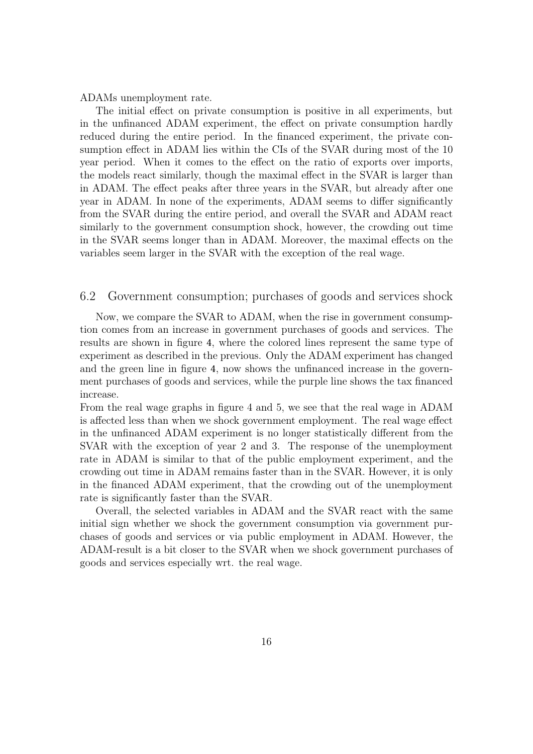ADAMs unemployment rate.

The initial effect on private consumption is positive in all experiments, but in the unfinanced ADAM experiment, the effect on private consumption hardly reduced during the entire period. In the financed experiment, the private consumption effect in ADAM lies within the CIs of the SVAR during most of the 10 year period. When it comes to the effect on the ratio of exports over imports, the models react similarly, though the maximal effect in the SVAR is larger than in ADAM. The effect peaks after three years in the SVAR, but already after one year in ADAM. In none of the experiments, ADAM seems to differ significantly from the SVAR during the entire period, and overall the SVAR and ADAM react similarly to the government consumption shock, however, the crowding out time in the SVAR seems longer than in ADAM. Moreover, the maximal effects on the variables seem larger in the SVAR with the exception of the real wage.

#### 6.2 Government consumption; purchases of goods and services shock

Now, we compare the SVAR to ADAM, when the rise in government consumption comes from an increase in government purchases of goods and services. The results are shown in figure 4, where the colored lines represent the same type of experiment as described in the previous. Only the ADAM experiment has changed and the green line in figure 4, now shows the unfinanced increase in the government purchases of goods and services, while the purple line shows the tax financed increase.

From the real wage graphs in figure 4 and 5, we see that the real wage in ADAM is affected less than when we shock government employment. The real wage effect in the unfinanced ADAM experiment is no longer statistically different from the SVAR with the exception of year 2 and 3. The response of the unemployment rate in ADAM is similar to that of the public employment experiment, and the crowding out time in ADAM remains faster than in the SVAR. However, it is only in the financed ADAM experiment, that the crowding out of the unemployment rate is significantly faster than the SVAR.

Overall, the selected variables in ADAM and the SVAR react with the same initial sign whether we shock the government consumption via government purchases of goods and services or via public employment in ADAM. However, the ADAM-result is a bit closer to the SVAR when we shock government purchases of goods and services especially wrt. the real wage.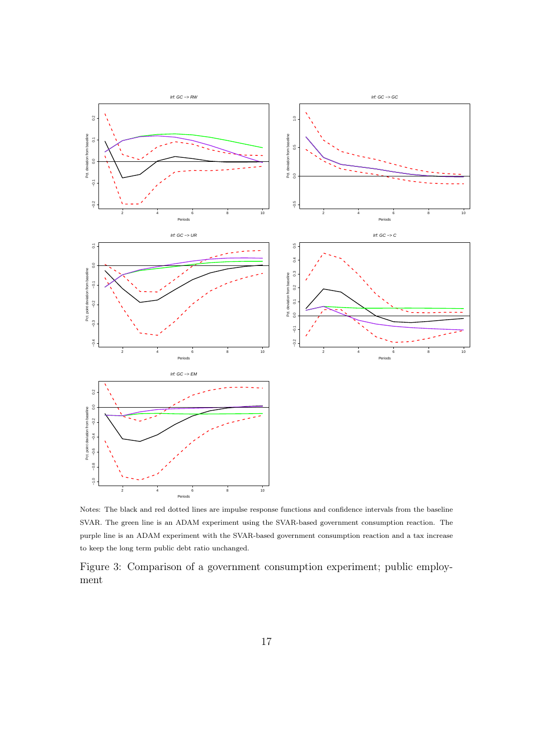

Notes: The black and red dotted lines are impulse response functions and confidence intervals from the baseline SVAR. The green line is an ADAM experiment using the SVAR-based government consumption reaction. The purple line is an ADAM experiment with the SVAR-based government consumption reaction and a tax increase to keep the long term public debt ratio unchanged.

Figure 3: Comparison of a government consumption experiment; public employment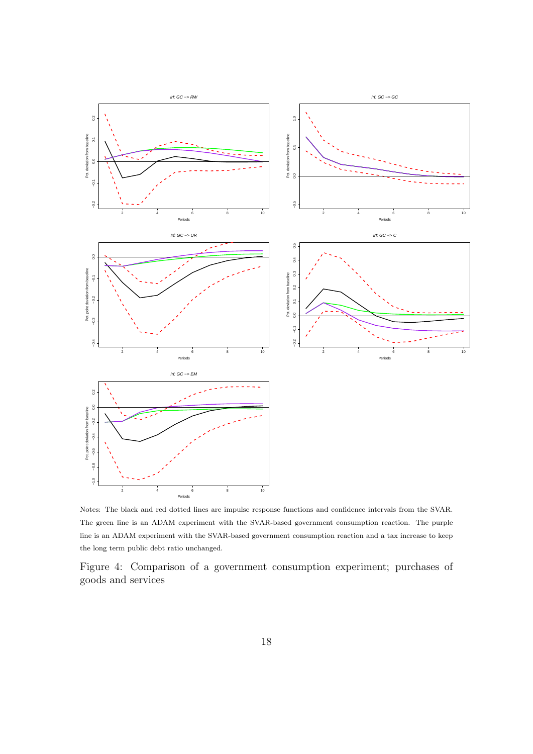

Notes: The black and red dotted lines are impulse response functions and confidence intervals from the SVAR. The green line is an ADAM experiment with the SVAR-based government consumption reaction. The purple line is an ADAM experiment with the SVAR-based government consumption reaction and a tax increase to keep the long term public debt ratio unchanged.

Figure 4: Comparison of a government consumption experiment; purchases of goods and services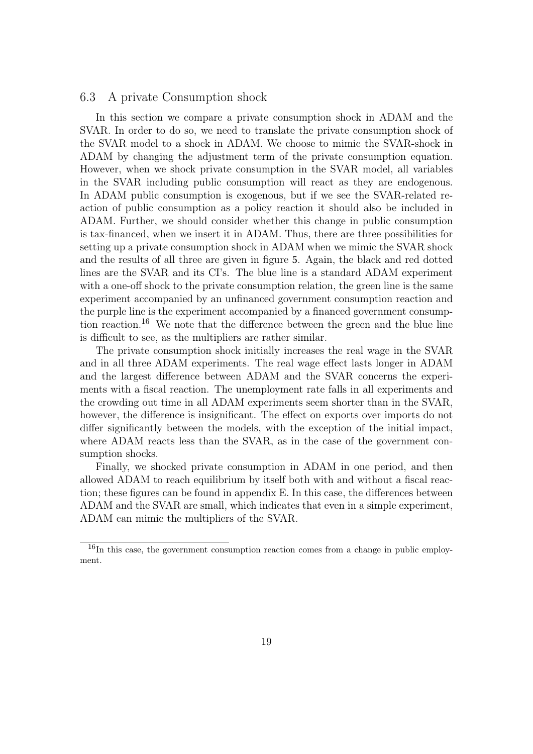#### 6.3 A private Consumption shock

In this section we compare a private consumption shock in ADAM and the SVAR. In order to do so, we need to translate the private consumption shock of the SVAR model to a shock in ADAM. We choose to mimic the SVAR-shock in ADAM by changing the adjustment term of the private consumption equation. However, when we shock private consumption in the SVAR model, all variables in the SVAR including public consumption will react as they are endogenous. In ADAM public consumption is exogenous, but if we see the SVAR-related reaction of public consumption as a policy reaction it should also be included in ADAM. Further, we should consider whether this change in public consumption is tax-financed, when we insert it in ADAM. Thus, there are three possibilities for setting up a private consumption shock in ADAM when we mimic the SVAR shock and the results of all three are given in figure 5. Again, the black and red dotted lines are the SVAR and its CI's. The blue line is a standard ADAM experiment with a one-off shock to the private consumption relation, the green line is the same experiment accompanied by an unfinanced government consumption reaction and the purple line is the experiment accompanied by a financed government consumption reaction.<sup>16</sup> We note that the difference between the green and the blue line is difficult to see, as the multipliers are rather similar.

The private consumption shock initially increases the real wage in the SVAR and in all three ADAM experiments. The real wage effect lasts longer in ADAM and the largest difference between ADAM and the SVAR concerns the experiments with a fiscal reaction. The unemployment rate falls in all experiments and the crowding out time in all ADAM experiments seem shorter than in the SVAR, however, the difference is insignificant. The effect on exports over imports do not differ significantly between the models, with the exception of the initial impact, where ADAM reacts less than the SVAR, as in the case of the government consumption shocks.

Finally, we shocked private consumption in ADAM in one period, and then allowed ADAM to reach equilibrium by itself both with and without a fiscal reaction; these figures can be found in appendix E. In this case, the differences between ADAM and the SVAR are small, which indicates that even in a simple experiment, ADAM can mimic the multipliers of the SVAR.

 $16$ In this case, the government consumption reaction comes from a change in public employment.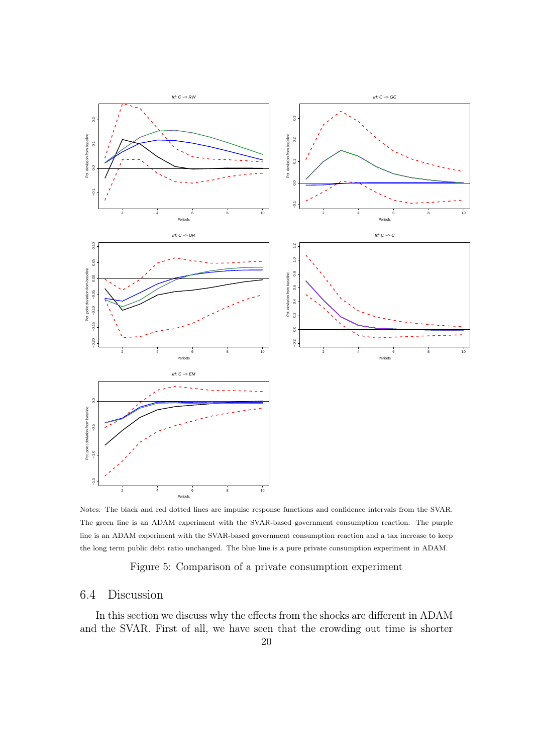

Notes: The black and red dotted lines are impulse response functions and confidence intervals from the SVAR. The green line is an ADAM experiment with the SVAR-based government consumption reaction. The purple line is an ADAM experiment with the SVAR-based government consumption reaction and a tax increase to keep the long term public debt ratio unchanged. The blue line is a pure private consumption experiment in ADAM.

Figure 5: Comparison of a private consumption experiment

#### 6.4 Discussion

In this section we discuss why the effects from the shocks are different in ADAM and the SVAR. First of all, we have seen that the crowding out time is shorter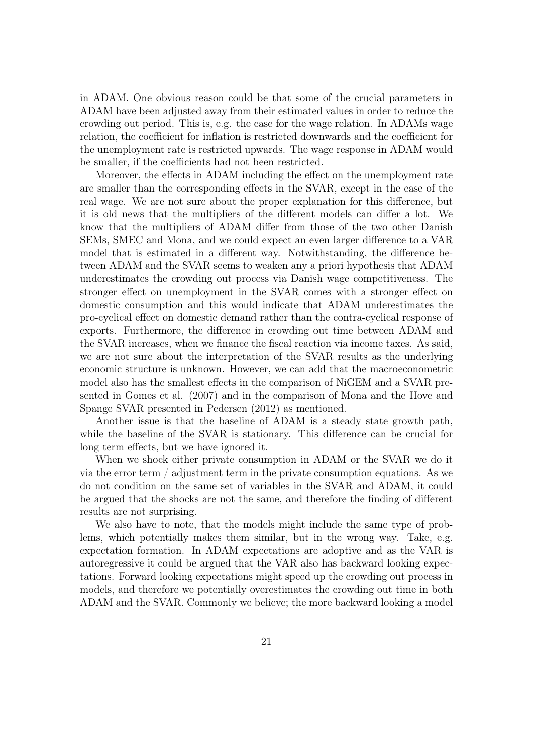in ADAM. One obvious reason could be that some of the crucial parameters in ADAM have been adjusted away from their estimated values in order to reduce the crowding out period. This is, e.g. the case for the wage relation. In ADAMs wage relation, the coefficient for inflation is restricted downwards and the coefficient for the unemployment rate is restricted upwards. The wage response in ADAM would be smaller, if the coefficients had not been restricted.

Moreover, the effects in ADAM including the effect on the unemployment rate are smaller than the corresponding effects in the SVAR, except in the case of the real wage. We are not sure about the proper explanation for this difference, but it is old news that the multipliers of the different models can differ a lot. We know that the multipliers of ADAM differ from those of the two other Danish SEMs, SMEC and Mona, and we could expect an even larger difference to a VAR model that is estimated in a different way. Notwithstanding, the difference between ADAM and the SVAR seems to weaken any a priori hypothesis that ADAM underestimates the crowding out process via Danish wage competitiveness. The stronger effect on unemployment in the SVAR comes with a stronger effect on domestic consumption and this would indicate that ADAM underestimates the pro-cyclical effect on domestic demand rather than the contra-cyclical response of exports. Furthermore, the difference in crowding out time between ADAM and the SVAR increases, when we finance the fiscal reaction via income taxes. As said, we are not sure about the interpretation of the SVAR results as the underlying economic structure is unknown. However, we can add that the macroeconometric model also has the smallest effects in the comparison of NiGEM and a SVAR presented in Gomes et al. (2007) and in the comparison of Mona and the Hove and Spange SVAR presented in Pedersen (2012) as mentioned.

Another issue is that the baseline of ADAM is a steady state growth path, while the baseline of the SVAR is stationary. This difference can be crucial for long term effects, but we have ignored it.

When we shock either private consumption in ADAM or the SVAR we do it via the error term / adjustment term in the private consumption equations. As we do not condition on the same set of variables in the SVAR and ADAM, it could be argued that the shocks are not the same, and therefore the finding of different results are not surprising.

We also have to note, that the models might include the same type of problems, which potentially makes them similar, but in the wrong way. Take, e.g. expectation formation. In ADAM expectations are adoptive and as the VAR is autoregressive it could be argued that the VAR also has backward looking expectations. Forward looking expectations might speed up the crowding out process in models, and therefore we potentially overestimates the crowding out time in both ADAM and the SVAR. Commonly we believe; the more backward looking a model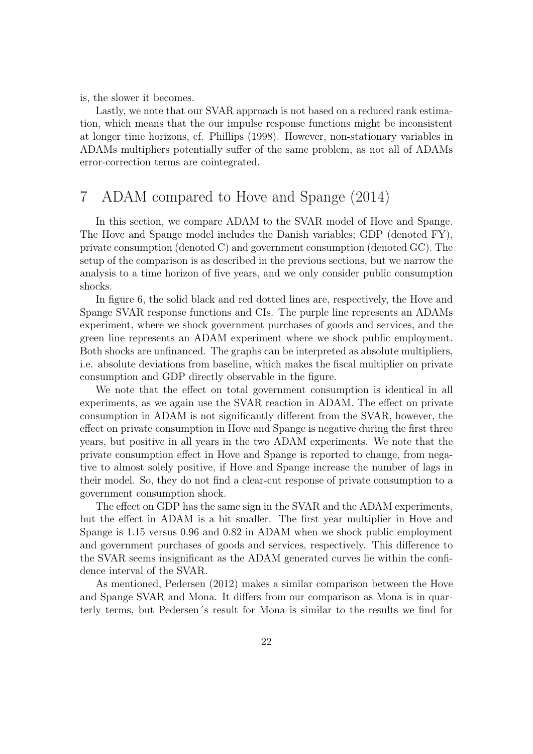is, the slower it becomes.

Lastly, we note that our SVAR approach is not based on a reduced rank estimation, which means that the our impulse response functions might be inconsistent at longer time horizons, cf. Phillips (1998). However, non-stationary variables in ADAMs multipliers potentially suffer of the same problem, as not all of ADAMs error-correction terms are cointegrated.

# 7 ADAM compared to Hove and Spange (2014)

In this section, we compare ADAM to the SVAR model of Hove and Spange. The Hove and Spange model includes the Danish variables; GDP (denoted FY), private consumption (denoted C) and government consumption (denoted GC). The setup of the comparison is as described in the previous sections, but we narrow the analysis to a time horizon of five years, and we only consider public consumption shocks.

In figure 6, the solid black and red dotted lines are, respectively, the Hove and Spange SVAR response functions and CIs. The purple line represents an ADAMs experiment, where we shock government purchases of goods and services, and the green line represents an ADAM experiment where we shock public employment. Both shocks are unfinanced. The graphs can be interpreted as absolute multipliers, i.e. absolute deviations from baseline, which makes the fiscal multiplier on private consumption and GDP directly observable in the figure.

We note that the effect on total government consumption is identical in all experiments, as we again use the SVAR reaction in ADAM. The effect on private consumption in ADAM is not significantly different from the SVAR, however, the effect on private consumption in Hove and Spange is negative during the first three years, but positive in all years in the two ADAM experiments. We note that the private consumption effect in Hove and Spange is reported to change, from negative to almost solely positive, if Hove and Spange increase the number of lags in their model. So, they do not find a clear-cut response of private consumption to a government consumption shock.

The effect on GDP has the same sign in the SVAR and the ADAM experiments, but the effect in ADAM is a bit smaller. The first year multiplier in Hove and Spange is 1.15 versus 0.96 and 0.82 in ADAM when we shock public employment and government purchases of goods and services, respectively. This difference to the SVAR seems insignificant as the ADAM generated curves lie within the confidence interval of the SVAR.

As mentioned, Pedersen (2012) makes a similar comparison between the Hove and Spange SVAR and Mona. It differs from our comparison as Mona is in quarterly terms, but Pedersen´s result for Mona is similar to the results we find for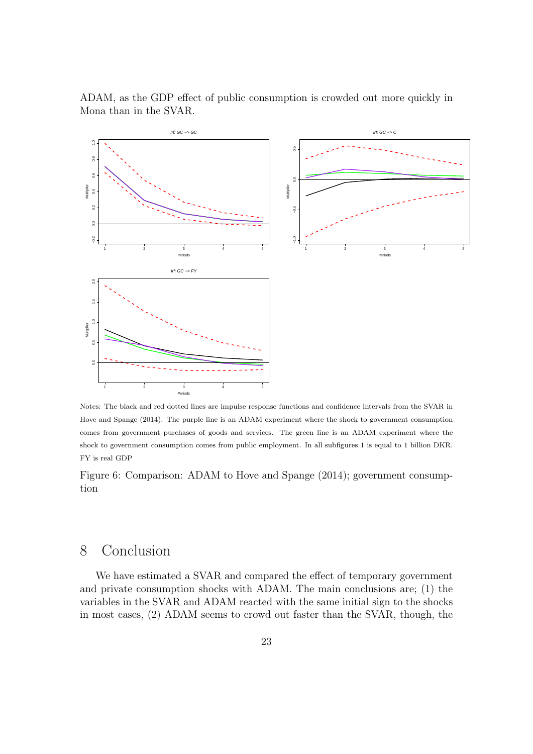

ADAM, as the GDP effect of public consumption is crowded out more quickly in Mona than in the SVAR.

Notes: The black and red dotted lines are impulse response functions and confidence intervals from the SVAR in Hove and Spange (2014). The purple line is an ADAM experiment where the shock to government consumption comes from government purchases of goods and services. The green line is an ADAM experiment where the shock to government consumption comes from public employment. In all subfigures 1 is equal to 1 billion DKR. FY is real GDP

Figure 6: Comparison: ADAM to Hove and Spange (2014); government consumption

# 8 Conclusion

We have estimated a SVAR and compared the effect of temporary government and private consumption shocks with ADAM. The main conclusions are; (1) the variables in the SVAR and ADAM reacted with the same initial sign to the shocks in most cases, (2) ADAM seems to crowd out faster than the SVAR, though, the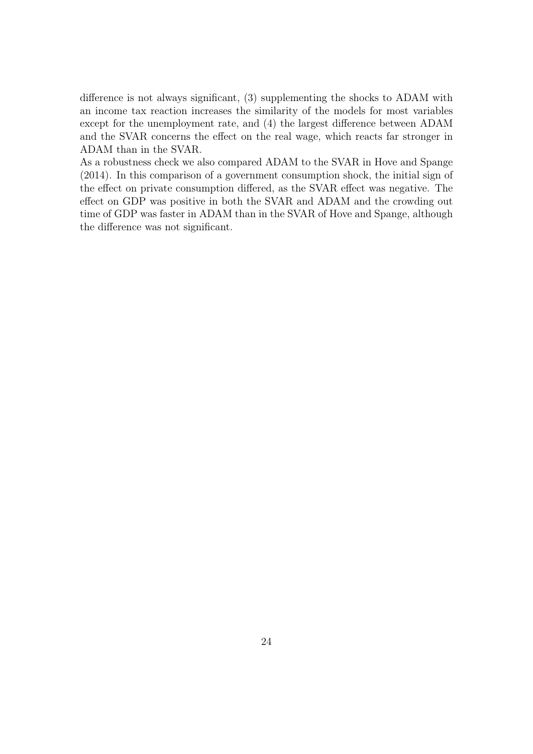difference is not always significant, (3) supplementing the shocks to ADAM with an income tax reaction increases the similarity of the models for most variables except for the unemployment rate, and (4) the largest difference between ADAM and the SVAR concerns the effect on the real wage, which reacts far stronger in ADAM than in the SVAR.

As a robustness check we also compared ADAM to the SVAR in Hove and Spange (2014). In this comparison of a government consumption shock, the initial sign of the effect on private consumption differed, as the SVAR effect was negative. The effect on GDP was positive in both the SVAR and ADAM and the crowding out time of GDP was faster in ADAM than in the SVAR of Hove and Spange, although the difference was not significant.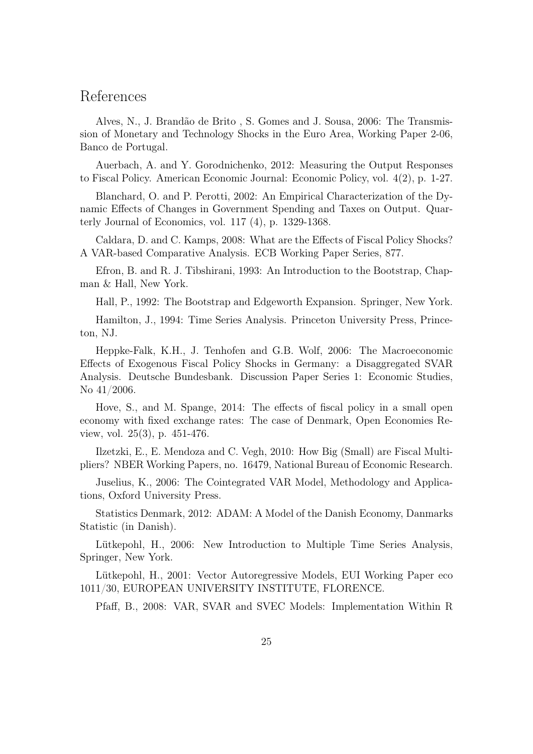### References

Alves, N., J. Brandão de Brito , S. Gomes and J. Sousa, 2006: The Transmission of Monetary and Technology Shocks in the Euro Area, Working Paper 2-06, Banco de Portugal.

Auerbach, A. and Y. Gorodnichenko, 2012: Measuring the Output Responses to Fiscal Policy. American Economic Journal: Economic Policy, vol. 4(2), p. 1-27.

Blanchard, O. and P. Perotti, 2002: An Empirical Characterization of the Dynamic Effects of Changes in Government Spending and Taxes on Output. Quarterly Journal of Economics, vol. 117 (4), p. 1329-1368.

Caldara, D. and C. Kamps, 2008: What are the Effects of Fiscal Policy Shocks? A VAR-based Comparative Analysis. ECB Working Paper Series, 877.

Efron, B. and R. J. Tibshirani, 1993: An Introduction to the Bootstrap, Chapman & Hall, New York.

Hall, P., 1992: The Bootstrap and Edgeworth Expansion. Springer, New York.

Hamilton, J., 1994: Time Series Analysis. Princeton University Press, Princeton, NJ.

Heppke-Falk, K.H., J. Tenhofen and G.B. Wolf, 2006: The Macroeconomic Effects of Exogenous Fiscal Policy Shocks in Germany: a Disaggregated SVAR Analysis. Deutsche Bundesbank. Discussion Paper Series 1: Economic Studies, No 41/2006.

Hove, S., and M. Spange, 2014: The effects of fiscal policy in a small open economy with fixed exchange rates: The case of Denmark, Open Economies Review, vol. 25(3), p. 451-476.

Ilzetzki, E., E. Mendoza and C. Vegh, 2010: How Big (Small) are Fiscal Multipliers? NBER Working Papers, no. 16479, National Bureau of Economic Research.

Juselius, K., 2006: The Cointegrated VAR Model, Methodology and Applications, Oxford University Press.

Statistics Denmark, 2012: ADAM: A Model of the Danish Economy, Danmarks Statistic (in Danish).

Lütkepohl, H., 2006: New Introduction to Multiple Time Series Analysis, Springer, New York.

Lütkepohl, H., 2001: Vector Autoregressive Models, EUI Working Paper eco 1011/30, EUROPEAN UNIVERSITY INSTITUTE, FLORENCE.

Pfaff, B., 2008: VAR, SVAR and SVEC Models: Implementation Within R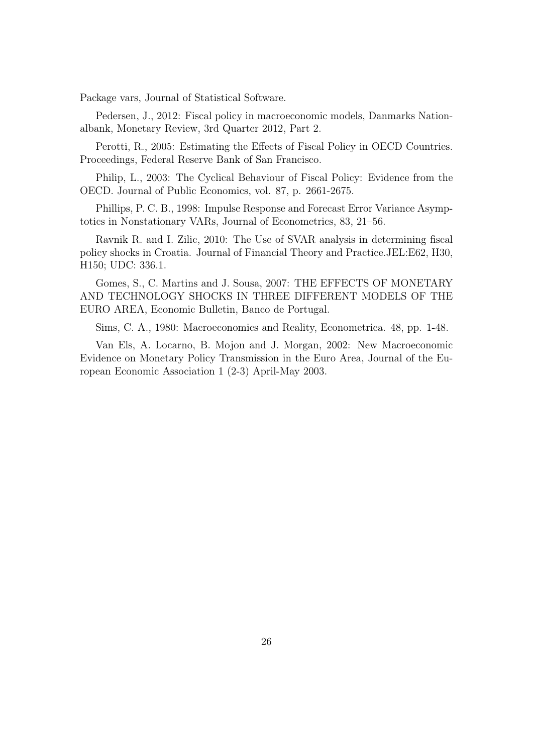Package vars, Journal of Statistical Software.

Pedersen, J., 2012: Fiscal policy in macroeconomic models, Danmarks Nationalbank, Monetary Review, 3rd Quarter 2012, Part 2.

Perotti, R., 2005: Estimating the Effects of Fiscal Policy in OECD Countries. Proceedings, Federal Reserve Bank of San Francisco.

Philip, L., 2003: The Cyclical Behaviour of Fiscal Policy: Evidence from the OECD. Journal of Public Economics, vol. 87, p. 2661-2675.

Phillips, P. C. B., 1998: Impulse Response and Forecast Error Variance Asymptotics in Nonstationary VARs, Journal of Econometrics, 83, 21–56.

Ravnik R. and I. Zilic, 2010: The Use of SVAR analysis in determining fiscal policy shocks in Croatia. Journal of Financial Theory and Practice.JEL:E62, H30, H150; UDC: 336.1.

Gomes, S., C. Martins and J. Sousa, 2007: THE EFFECTS OF MONETARY AND TECHNOLOGY SHOCKS IN THREE DIFFERENT MODELS OF THE EURO AREA, Economic Bulletin, Banco de Portugal.

Sims, C. A., 1980: Macroeconomics and Reality, Econometrica. 48, pp. 1-48.

Van Els, A. Locarno, B. Mojon and J. Morgan, 2002: New Macroeconomic Evidence on Monetary Policy Transmission in the Euro Area, Journal of the European Economic Association 1 (2-3) April-May 2003.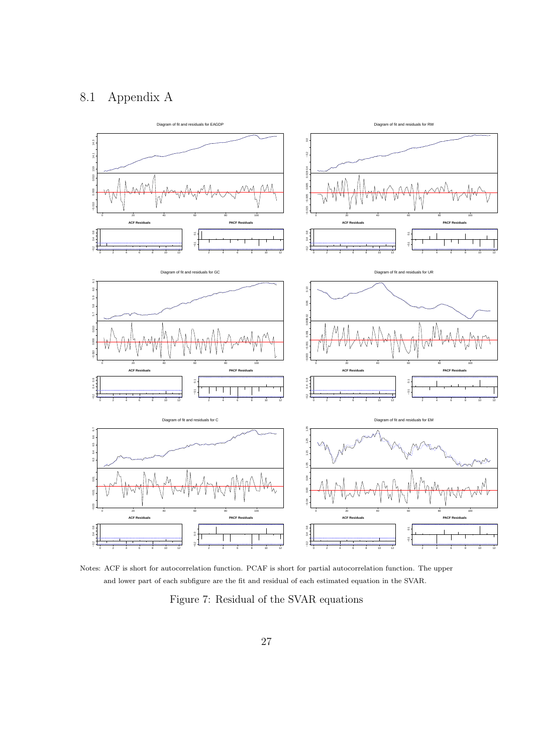# 8.1 Appendix A



Notes: ACF is short for autocorrelation function. PCAF is short for partial autocorrelation function. The upper and lower part of each subfigure are the fit and residual of each estimated equation in the SVAR.

Figure 7: Residual of the SVAR equations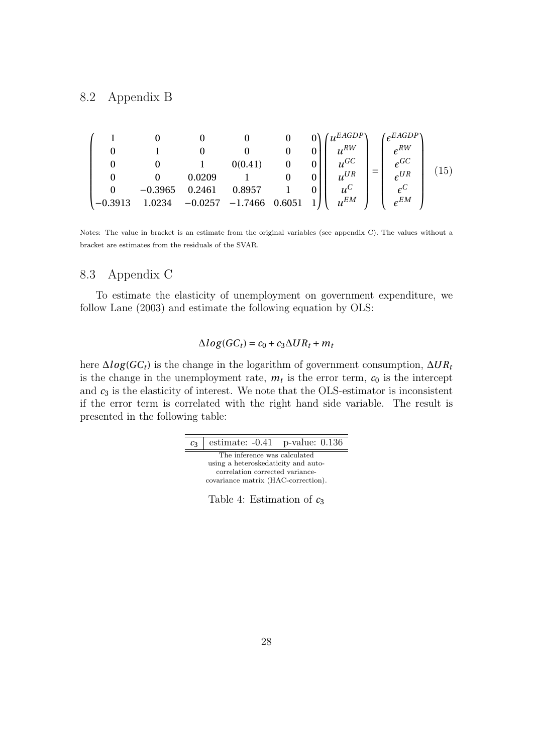### 8.2 Appendix B

|           |           |                            |         |  | $L_{\bullet} EAGDP$ | $'$ <sub>c</sub> EAGDP |              |
|-----------|-----------|----------------------------|---------|--|---------------------|------------------------|--------------|
|           |           |                            |         |  |                     | $\epsilon^{RW}$        |              |
|           |           |                            | 0(0.41) |  | $u^{GC}$            | $\epsilon^{GC}$        | $15^{\circ}$ |
|           |           | 0.0209                     |         |  |                     | $\epsilon^{UR}$        |              |
|           | $-0.3965$ | 0.2461                     | 0.8957  |  | $u^{\cup}$          | сU                     |              |
| $-0.3913$ | 1.0234    | $-0.0257$ $-1.7466$ 0.6051 |         |  | $u^{EM}$            | $\epsilon^{EM}$        |              |

Notes: The value in bracket is an estimate from the original variables (see appendix C). The values without a bracket are estimates from the residuals of the SVAR.

### 8.3 Appendix C

To estimate the elasticity of unemployment on government expenditure, we follow Lane (2003) and estimate the following equation by OLS:

#### $\Delta log(GC_t) = c_0 + c_3 \Delta UR_t + m_t$

here ∆*l og* (*GCt*) is the change in the logarithm of government consumption, ∆*UR<sup>t</sup>* is the change in the unemployment rate,  $m_t$  is the error term,  $c_0$  is the intercept and  $c_3$  is the elasticity of interest. We note that the OLS-estimator is inconsistent if the error term is correlated with the right hand side variable. The result is presented in the following table:



Table 4: Estimation of *c*<sup>3</sup>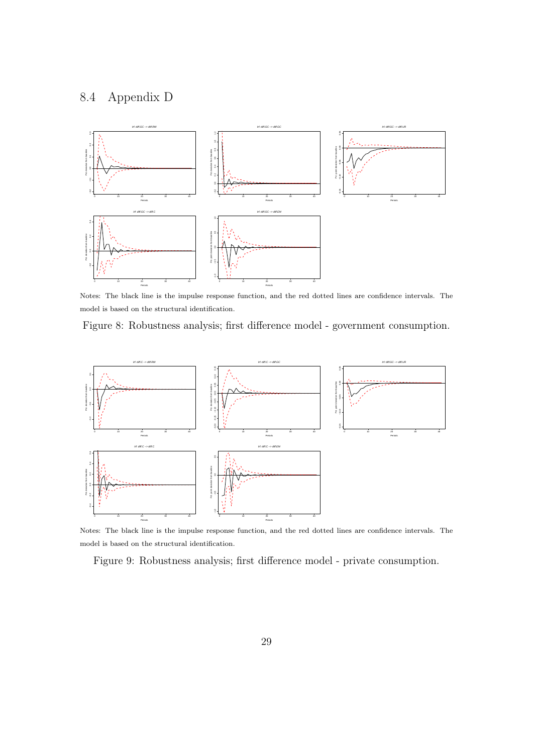# 8.4 Appendix D



Notes: The black line is the impulse response function, and the red dotted lines are confidence intervals. The model is based on the structural identification.

Figure 8: Robustness analysis; first difference model - government consumption.



Notes: The black line is the impulse response function, and the red dotted lines are confidence intervals. The model is based on the structural identification.

Figure 9: Robustness analysis; first difference model - private consumption.